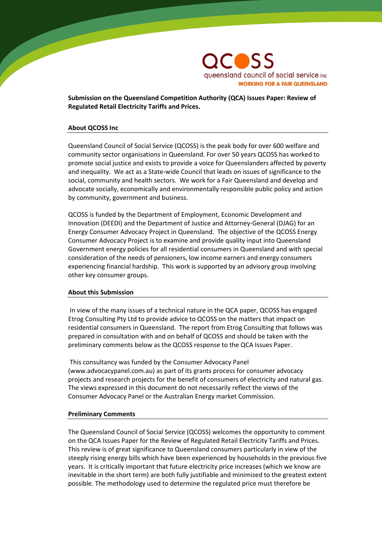

**Submission on the Queensland Competition Authority (QCA) Issues Paper: Review of Regulated Retail Electricity Tariffs and Prices.**

#### **About QCOSS Inc**

Queensland Council of Social Service (QCOSS) is the peak body for over 600 welfare and community sector organisations in Queensland. For over 50 years QCOSS has worked to promote social justice and exists to provide a voice for Queenslanders affected by poverty and inequality. We act as a State-wide Council that leads on issues of significance to the social, community and health sectors. We work for a Fair Queensland and develop and advocate socially, economically and environmentally responsible public policy and action by community, government and business.

QCOSS is funded by the Department of Employment, Economic Development and Innovation (DEEDI) and the Department of Justice and Attorney-General (DJAG) for an Energy Consumer Advocacy Project in Queensland. The objective of the QCOSS Energy Consumer Advocacy Project is to examine and provide quality input into Queensland Government energy policies for all residential consumers in Queensland and with special consideration of the needs of pensioners, low income earners and energy consumers experiencing financial hardship. This work is supported by an advisory group involving other key consumer groups.

#### **About this Submission**

In view of the many issues of a technical nature in the QCA paper, QCOSS has engaged Etrog Consulting Pty Ltd to provide advice to QCOSS on the matters that impact on residential consumers in Queensland. The report from Etrog Consulting that follows was prepared in consultation with and on behalf of QCOSS and should be taken with the preliminary comments below as the QCOSS response to the QCA Issues Paper.

This consultancy was funded by the Consumer Advocacy Panel (www.advocacypanel.com.au) as part of its grants process for consumer advocacy projects and research projects for the benefit of consumers of electricity and natural gas. The views expressed in this document do not necessarily reflect the views of the Consumer Advocacy Panel or the Australian Energy market Commission.

#### **Preliminary Comments**

The Queensland Council of Social Service (QCOSS) welcomes the opportunity to comment on the QCA Issues Paper for the Review of Regulated Retail Electricity Tariffs and Prices. This review is of great significance to Queensland consumers particularly in view of the steeply rising energy bills which have been experienced by households in the previous five years. It is critically important that future electricity price increases (which we know are inevitable in the short term) are both fully justifiable and minimized to the greatest extent possible. The methodology used to determine the regulated price must therefore be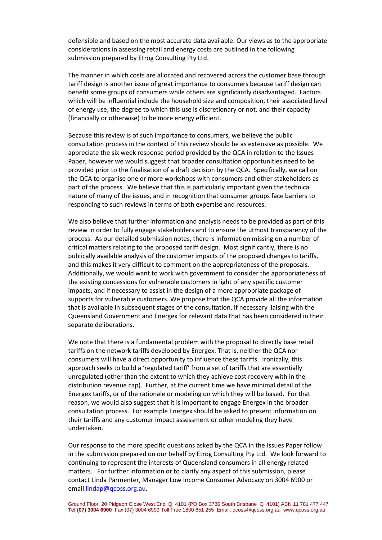defensible and based on the most accurate data available. Our views as to the appropriate considerations in assessing retail and energy costs are outlined in the following submission prepared by Etrog Consulting Pty Ltd.

The manner in which costs are allocated and recovered across the customer base through tariff design is another issue of great importance to consumers because tariff design can benefit some groups of consumers while others are significantly disadvantaged. Factors which will be influential include the household size and composition, their associated level of energy use, the degree to which this use is discretionary or not, and their capacity (financially or otherwise) to be more energy efficient.

Because this review is of such importance to consumers, we believe the public consultation process in the context of this review should be as extensive as possible. We appreciate the six week response period provided by the QCA in relation to the Issues Paper, however we would suggest that broader consultation opportunities need to be provided prior to the finalisation of a draft decision by the QCA. Specifically, we call on the QCA to organise one or more workshops with consumers and other stakeholders as part of the process. We believe that this is particularly important given the technical nature of many of the issues, and in recognition that consumer groups face barriers to responding to such reviews in terms of both expertise and resources.

We also believe that further information and analysis needs to be provided as part of this review in order to fully engage stakeholders and to ensure the utmost transparency of the process. As our detailed submission notes, there is information missing on a number of critical matters relating to the proposed tariff design. Most significantly, there is no publically available analysis of the customer impacts of the proposed changes to tariffs, and this makes it very difficult to comment on the appropriateness of the proposals. Additionally, we would want to work with government to consider the appropriateness of the existing concessions for vulnerable customers in light of any specific customer impacts, and if necessary to assist in the design of a more appropriate package of supports for vulnerable customers. We propose that the QCA provide all the information that is available in subsequent stages of the consultation, if necessary liaising with the Queensland Government and Energex for relevant data that has been considered in their separate deliberations.

We note that there is a fundamental problem with the proposal to directly base retail tariffs on the network tariffs developed by Energex. That is, neither the QCA nor consumers will have a direct opportunity to influence these tariffs. Ironically, this approach seeks to build a 'regulated tariff' from a set of tariffs that are essentially unregulated (other than the extent to which they achieve cost recovery with in the distribution revenue cap). Further, at the current time we have minimal detail of the Energex tariffs, or of the rationale or modeling on which they will be based. For that reason, we would also suggest that it is important to engage Energex in the broader consultation process. For example Energex should be asked to present information on their tariffs and any customer impact assessment or other modeling they have undertaken.

Our response to the more specific questions asked by the QCA in the Issues Paper follow in the submission prepared on our behalf by Etrog Consulting Pty Ltd. We look forward to continuing to represent the interests of Queensland consumers in all energy related matters. For further information or to clarify any aspect of this submission, please contact Linda Parmenter, Manager Low Income Consumer Advocacy on 3004 6900 or emai[l lindap@qcoss.org.au.](mailto:lindap@qcoss.org.au)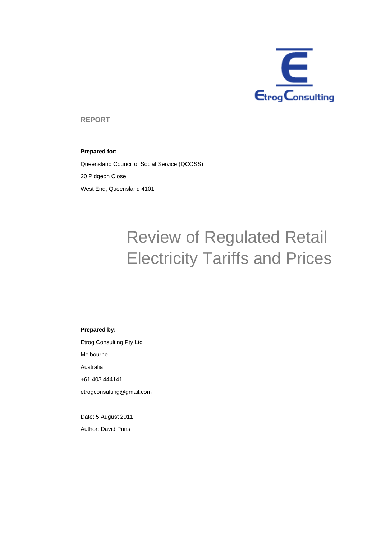

**REPORT** 

#### **Prepared for:**

Queensland Council of Social Service (QCOSS) 20 Pidgeon Close West End, Queensland 4101

# Review of Regulated Retail Electricity Tariffs and Prices

#### **Prepared by:**

Etrog Consulting Pty Ltd Melbourne Australia +61 403 444141 etrogconsulting@gmail.com

Date: 5 August 2011 Author: David Prins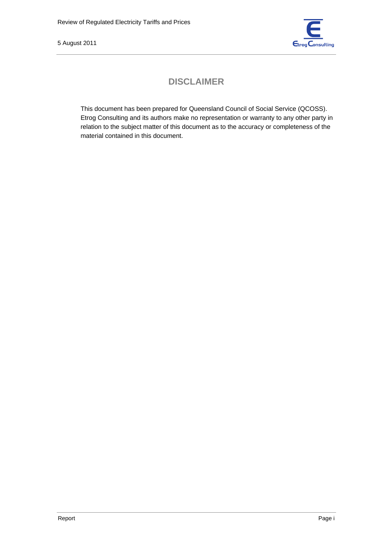

# **DISCLAIMER**

This document has been prepared for Queensland Council of Social Service (QCOSS). Etrog Consulting and its authors make no representation or warranty to any other party in relation to the subject matter of this document as to the accuracy or completeness of the material contained in this document.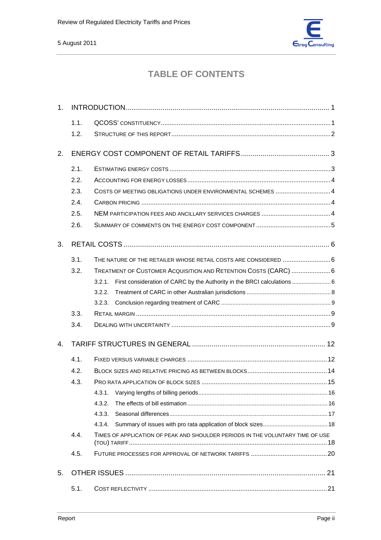

# **TABLE OF CONTENTS**

| 1 <sub>1</sub> |      |                                                                                |  |
|----------------|------|--------------------------------------------------------------------------------|--|
|                | 1.1. |                                                                                |  |
|                | 1.2. |                                                                                |  |
| 2.             |      |                                                                                |  |
|                | 2.1. |                                                                                |  |
|                | 2.2. |                                                                                |  |
|                | 2.3. | COSTS OF MEETING OBLIGATIONS UNDER ENVIRONMENTAL SCHEMES 4                     |  |
|                | 2.4. |                                                                                |  |
|                | 2.5. |                                                                                |  |
|                | 2.6. |                                                                                |  |
| 3.             |      |                                                                                |  |
|                | 3.1. | THE NATURE OF THE RETAILER WHOSE RETAIL COSTS ARE CONSIDERED 6                 |  |
|                | 3.2. | TREATMENT OF CUSTOMER ACQUISITION AND RETENTION COSTS (CARC)  6                |  |
|                |      | 3.2.1.                                                                         |  |
|                |      | 3.2.2.                                                                         |  |
|                |      | 3.2.3.                                                                         |  |
|                | 3.3. |                                                                                |  |
|                | 3.4. |                                                                                |  |
| $\mathbf{4}$ . |      |                                                                                |  |
|                | 4.1. |                                                                                |  |
|                | 4.2. |                                                                                |  |
|                | 4.3. |                                                                                |  |
|                |      | 4.3.1.                                                                         |  |
|                |      | 4.3.2.                                                                         |  |
|                |      | 4.3.3.                                                                         |  |
|                |      | 4.3.4.                                                                         |  |
|                | 4.4. | TIMES OF APPLICATION OF PEAK AND SHOULDER PERIODS IN THE VOLUNTARY TIME OF USE |  |
|                | 4.5. |                                                                                |  |
| 5.             |      |                                                                                |  |
|                | 5.1. |                                                                                |  |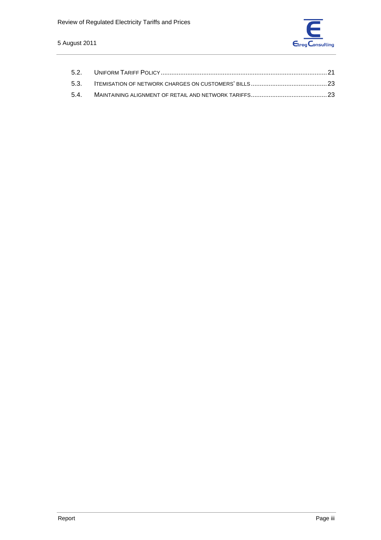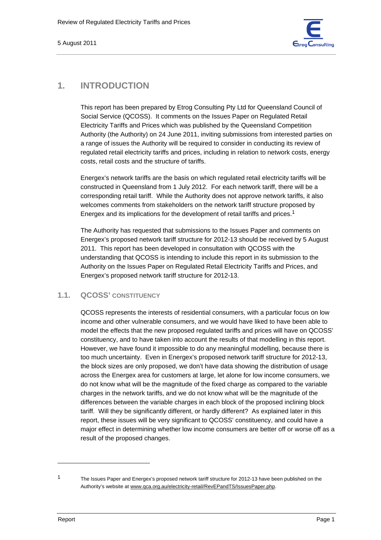

## **1. INTRODUCTION**

This report has been prepared by Etrog Consulting Pty Ltd for Queensland Council of Social Service (QCOSS). It comments on the Issues Paper on Regulated Retail Electricity Tariffs and Prices which was published by the Queensland Competition Authority (the Authority) on 24 June 2011, inviting submissions from interested parties on a range of issues the Authority will be required to consider in conducting its review of regulated retail electricity tariffs and prices, including in relation to network costs, energy costs, retail costs and the structure of tariffs.

Energex's network tariffs are the basis on which regulated retail electricity tariffs will be constructed in Queensland from 1 July 2012. For each network tariff, there will be a corresponding retail tariff. While the Authority does not approve network tariffs, it also welcomes comments from stakeholders on the network tariff structure proposed by Energex and its implications for the development of retail tariffs and prices.1

The Authority has requested that submissions to the Issues Paper and comments on Energex's proposed network tariff structure for 2012-13 should be received by 5 August 2011. This report has been developed in consultation with QCOSS with the understanding that QCOSS is intending to include this report in its submission to the Authority on the Issues Paper on Regulated Retail Electricity Tariffs and Prices, and Energex's proposed network tariff structure for 2012-13.

## **1.1. QCOSS' CONSTITUENCY**

QCOSS represents the interests of residential consumers, with a particular focus on low income and other vulnerable consumers, and we would have liked to have been able to model the effects that the new proposed regulated tariffs and prices will have on QCOSS' constituency, and to have taken into account the results of that modelling in this report. However, we have found it impossible to do any meaningful modelling, because there is too much uncertainty. Even in Energex's proposed network tariff structure for 2012-13, the block sizes are only proposed, we don't have data showing the distribution of usage across the Energex area for customers at large, let alone for low income consumers, we do not know what will be the magnitude of the fixed charge as compared to the variable charges in the network tariffs, and we do not know what will be the magnitude of the differences between the variable charges in each block of the proposed inclining block tariff. Will they be significantly different, or hardly different? As explained later in this report, these issues will be very significant to QCOSS' constituency, and could have a major effect in determining whether low income consumers are better off or worse off as a result of the proposed changes.

<sup>1</sup> The Issues Paper and Energex's proposed network tariff structure for 2012-13 have been published on the Authority's website at www.qca.org.au/electricity-retail/RevEPandTS/IssuesPaper.php.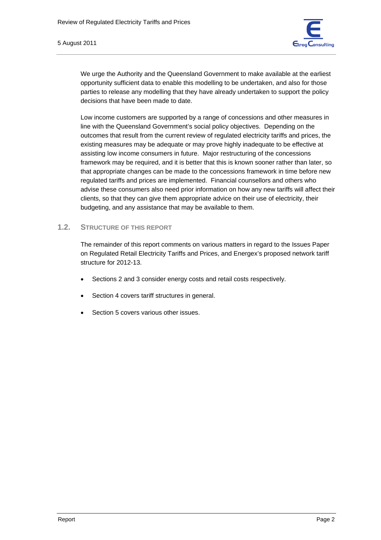

We urge the Authority and the Queensland Government to make available at the earliest opportunity sufficient data to enable this modelling to be undertaken, and also for those parties to release any modelling that they have already undertaken to support the policy decisions that have been made to date.

Low income customers are supported by a range of concessions and other measures in line with the Queensland Government's social policy objectives. Depending on the outcomes that result from the current review of regulated electricity tariffs and prices, the existing measures may be adequate or may prove highly inadequate to be effective at assisting low income consumers in future. Major restructuring of the concessions framework may be required, and it is better that this is known sooner rather than later, so that appropriate changes can be made to the concessions framework in time before new regulated tariffs and prices are implemented. Financial counsellors and others who advise these consumers also need prior information on how any new tariffs will affect their clients, so that they can give them appropriate advice on their use of electricity, their budgeting, and any assistance that may be available to them.

#### **1.2. STRUCTURE OF THIS REPORT**

The remainder of this report comments on various matters in regard to the Issues Paper on Regulated Retail Electricity Tariffs and Prices, and Energex's proposed network tariff structure for 2012-13.

- Sections 2 and 3 consider energy costs and retail costs respectively.
- Section 4 covers tariff structures in general.
- Section 5 covers various other issues.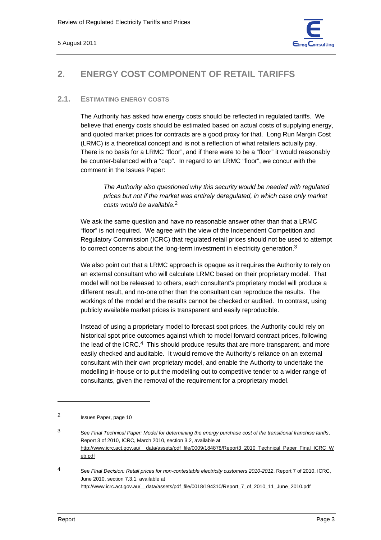

# **2. ENERGY COST COMPONENT OF RETAIL TARIFFS**

## **2.1. ESTIMATING ENERGY COSTS**

The Authority has asked how energy costs should be reflected in regulated tariffs. We believe that energy costs should be estimated based on actual costs of supplying energy, and quoted market prices for contracts are a good proxy for that. Long Run Margin Cost (LRMC) is a theoretical concept and is not a reflection of what retailers actually pay. There is no basis for a LRMC "floor", and if there were to be a "floor" it would reasonably be counter-balanced with a "cap". In regard to an LRMC "floor", we concur with the comment in the Issues Paper:

*The Authority also questioned why this security would be needed with regulated prices but not if the market was entirely deregulated, in which case only market costs would be available.*2

We ask the same question and have no reasonable answer other than that a LRMC "floor" is not required. We agree with the view of the Independent Competition and Regulatory Commission (ICRC) that regulated retail prices should not be used to attempt to correct concerns about the long-term investment in electricity generation.<sup>3</sup>

We also point out that a LRMC approach is opaque as it requires the Authority to rely on an external consultant who will calculate LRMC based on their proprietary model. That model will not be released to others, each consultant's proprietary model will produce a different result, and no-one other than the consultant can reproduce the results. The workings of the model and the results cannot be checked or audited. In contrast, using publicly available market prices is transparent and easily reproducible.

Instead of using a proprietary model to forecast spot prices, the Authority could rely on historical spot price outcomes against which to model forward contract prices, following the lead of the ICRC.<sup>4</sup> This should produce results that are more transparent, and more easily checked and auditable. It would remove the Authority's reliance on an external consultant with their own proprietary model, and enable the Authority to undertake the modelling in-house or to put the modelling out to competitive tender to a wider range of consultants, given the removal of the requirement for a proprietary model.

<sup>2</sup> Issues Paper, page 10

<sup>3</sup> See *Final Technical Paper: Model for determining the energy purchase cost of the transitional franchise tariffs*, Report 3 of 2010, ICRC, March 2010, section 3.2, available at http://www.icrc.act.gov.au/\_\_data/assets/pdf\_file/0009/184878/Report3\_2010\_Technical\_Paper\_Final\_ICRC\_W eb.pdf

<sup>4</sup> See *Final Decision: Retail prices for non-contestable electricity customers 2010-2012*, Report 7 of 2010, ICRC, June 2010, section 7.3.1, available at http://www.icrc.act.gov.au/\_\_data/assets/pdf\_file/0018/194310/Report\_7\_of\_2010\_11\_June\_2010.pdf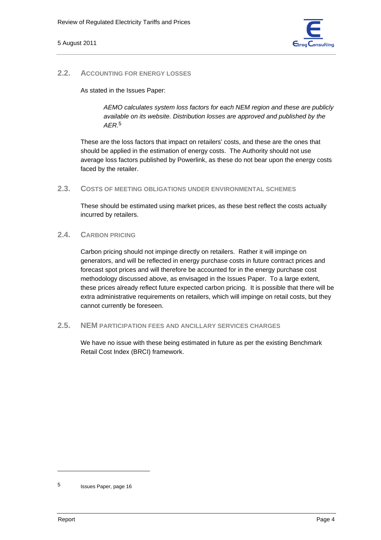

#### **2.2. ACCOUNTING FOR ENERGY LOSSES**

As stated in the Issues Paper:

*AEMO calculates system loss factors for each NEM region and these are publicly available on its website. Distribution losses are approved and published by the AER.*5

These are the loss factors that impact on retailers' costs, and these are the ones that should be applied in the estimation of energy costs. The Authority should not use average loss factors published by Powerlink, as these do not bear upon the energy costs faced by the retailer.

**2.3. COSTS OF MEETING OBLIGATIONS UNDER ENVIRONMENTAL SCHEMES**

These should be estimated using market prices, as these best reflect the costs actually incurred by retailers.

#### **2.4. CARBON PRICING**

Carbon pricing should not impinge directly on retailers. Rather it will impinge on generators, and will be reflected in energy purchase costs in future contract prices and forecast spot prices and will therefore be accounted for in the energy purchase cost methodology discussed above, as envisaged in the Issues Paper. To a large extent, these prices already reflect future expected carbon pricing. It is possible that there will be extra administrative requirements on retailers, which will impinge on retail costs, but they cannot currently be foreseen.

#### **2.5. NEM PARTICIPATION FEES AND ANCILLARY SERVICES CHARGES**

We have no issue with these being estimated in future as per the existing Benchmark Retail Cost Index (BRCI) framework.

<sup>5</sup> Issues Paper, page 16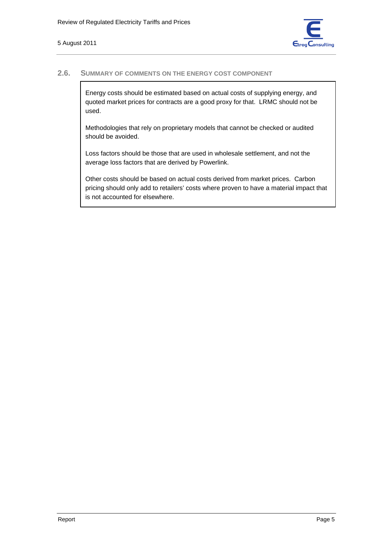

#### **2.6. SUMMARY OF COMMENTS ON THE ENERGY COST COMPONENT**

Energy costs should be estimated based on actual costs of supplying energy, and quoted market prices for contracts are a good proxy for that. LRMC should not be used.

Methodologies that rely on proprietary models that cannot be checked or audited should be avoided.

Loss factors should be those that are used in wholesale settlement, and not the average loss factors that are derived by Powerlink.

Other costs should be based on actual costs derived from market prices. Carbon pricing should only add to retailers' costs where proven to have a material impact that is not accounted for elsewhere.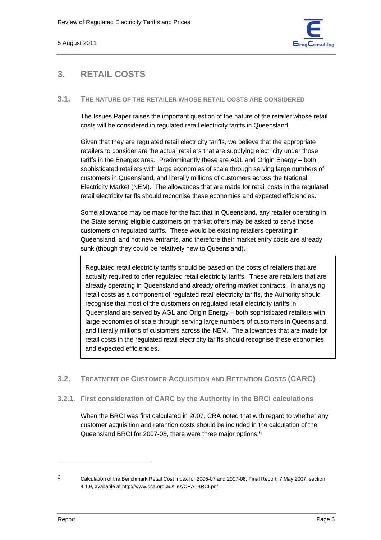

## **3. RETAIL COSTS**

#### **3.1. THE NATURE OF THE RETAILER WHOSE RETAIL COSTS ARE CONSIDERED**

The Issues Paper raises the important question of the nature of the retailer whose retail costs will be considered in regulated retail electricity tariffs in Queensland.

Given that they are regulated retail electricity tariffs, we believe that the appropriate retailers to consider are the actual retailers that are supplying electricity under those tariffs in the Energex area. Predominantly these are AGL and Origin Energy – both sophisticated retailers with large economies of scale through serving large numbers of customers in Queensland, and literally millions of customers across the National Electricity Market (NEM). The allowances that are made for retail costs in the regulated retail electricity tariffs should recognise these economies and expected efficiencies.

Some allowance may be made for the fact that in Queensland, any retailer operating in the State serving eligible customers on market offers may be asked to serve those customers on regulated tariffs. These would be existing retailers operating in Queensland, and not new entrants, and therefore their market entry costs are already sunk (though they could be relatively new to Queensland).

Regulated retail electricity tariffs should be based on the costs of retailers that are actually required to offer regulated retail electricity tariffs. These are retailers that are already operating in Queensland and already offering market contracts. In analysing retail costs as a component of regulated retail electricity tariffs, the Authority should recognise that most of the customers on regulated retail electricity tariffs in Queensland are served by AGL and Origin Energy – both sophisticated retailers with large economies of scale through serving large numbers of customers in Queensland, and literally millions of customers across the NEM. The allowances that are made for retail costs in the regulated retail electricity tariffs should recognise these economies and expected efficiencies.

## **3.2. TREATMENT OF CUSTOMER ACQUISITION AND RETENTION COSTS (CARC)**

**3.2.1. First consideration of CARC by the Authority in the BRCI calculations** 

When the BRCI was first calculated in 2007, CRA noted that with regard to whether any customer acquisition and retention costs should be included in the calculation of the Queensland BRCI for 2007-08, there were three major options:6

<sup>6</sup> Calculation of the Benchmark Retail Cost Index for 2006-07 and 2007-08, Final Report, 7 May 2007, section 4.1.9, available at http://www.qca.org.au/files/CRA\_BRCI.pdf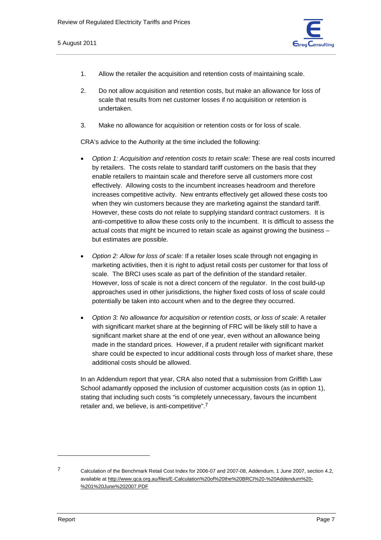

- 1. Allow the retailer the acquisition and retention costs of maintaining scale.
- 2. Do not allow acquisition and retention costs, but make an allowance for loss of scale that results from net customer losses if no acquisition or retention is undertaken.
- 3. Make no allowance for acquisition or retention costs or for loss of scale.

CRA's advice to the Authority at the time included the following:

- *Option 1: Acquisition and retention costs to retain scale:* These are real costs incurred by retailers. The costs relate to standard tariff customers on the basis that they enable retailers to maintain scale and therefore serve all customers more cost effectively. Allowing costs to the incumbent increases headroom and therefore increases competitive activity. New entrants effectively get allowed these costs too when they win customers because they are marketing against the standard tariff. However, these costs do not relate to supplying standard contract customers. It is anti-competitive to allow these costs only to the incumbent. It is difficult to assess the actual costs that might be incurred to retain scale as against growing the business – but estimates are possible.
- *Option 2: Allow for loss of scale:* If a retailer loses scale through not engaging in marketing activities, then it is right to adjust retail costs per customer for that loss of scale. The BRCI uses scale as part of the definition of the standard retailer. However, loss of scale is not a direct concern of the regulator. In the cost build-up approaches used in other jurisdictions, the higher fixed costs of loss of scale could potentially be taken into account when and to the degree they occurred.
- *Option 3: No allowance for acquisition or retention costs, or loss of scale:* A retailer with significant market share at the beginning of FRC will be likely still to have a significant market share at the end of one year, even without an allowance being made in the standard prices. However, if a prudent retailer with significant market share could be expected to incur additional costs through loss of market share, these additional costs should be allowed.

In an Addendum report that year, CRA also noted that a submission from Griffith Law School adamantly opposed the inclusion of customer acquisition costs (as in option 1), stating that including such costs "is completely unnecessary, favours the incumbent retailer and, we believe, is anti-competitive".7

<sup>7</sup> Calculation of the Benchmark Retail Cost Index for 2006-07 and 2007-08, Addendum, 1 June 2007, section 4.2, available at http://www.qca.org.au/files/E-Calculation%20of%20the%20BRCI%20-%20Addendum%20- %201%20June%202007.PDF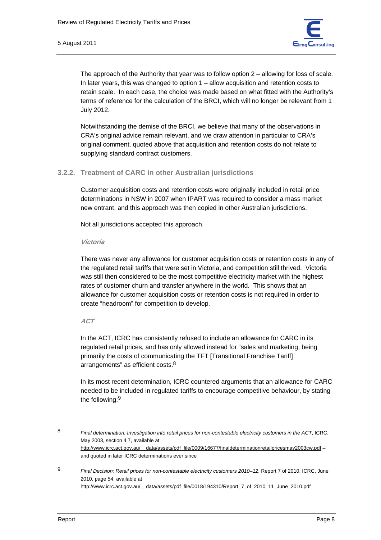

The approach of the Authority that year was to follow option 2 – allowing for loss of scale. In later years, this was changed to option 1 – allow acquisition and retention costs to retain scale. In each case, the choice was made based on what fitted with the Authority's terms of reference for the calculation of the BRCI, which will no longer be relevant from 1 July 2012.

Notwithstanding the demise of the BRCI, we believe that many of the observations in CRA's original advice remain relevant, and we draw attention in particular to CRA's original comment, quoted above that acquisition and retention costs do not relate to supplying standard contract customers.

#### **3.2.2. Treatment of CARC in other Australian jurisdictions**

Customer acquisition costs and retention costs were originally included in retail price determinations in NSW in 2007 when IPART was required to consider a mass market new entrant, and this approach was then copied in other Australian jurisdictions.

Not all jurisdictions accepted this approach.

**Victoria** 

There was never any allowance for customer acquisition costs or retention costs in any of the regulated retail tariffs that were set in Victoria, and competition still thrived. Victoria was still then considered to be the most competitive electricity market with the highest rates of customer churn and transfer anywhere in the world. This shows that an allowance for customer acquisition costs or retention costs is not required in order to create "headroom" for competition to develop.

#### **ACT**

In the ACT, ICRC has consistently refused to include an allowance for CARC in its regulated retail prices, and has only allowed instead for "sales and marketing, being primarily the costs of communicating the TFT [Transitional Franchise Tariff] arrangements" as efficient costs.<sup>8</sup>

In its most recent determination, ICRC countered arguments that an allowance for CARC needed to be included in regulated tariffs to encourage competitive behaviour, by stating the following:9

<sup>8</sup> *Final determination: Investigation into retail prices for non-contestable electricity customers in the ACT*, ICRC, May 2003, section 4.7, available at http://www.icrc.act.gov.au/\_\_data/assets/pdf\_file/0009/16677/finaldeterminationretailpricesmay2003cw.pdf – and quoted in later ICRC determinations ever since

<sup>9</sup> *Final Decision: Retail prices for non-contestable electricity customers 2010–12*, Report 7 of 2010, ICRC, June 2010, page 54, available at http://www.icrc.act.gov.au/\_\_data/assets/pdf\_file/0018/194310/Report\_7\_of\_2010\_11\_June\_2010.pdf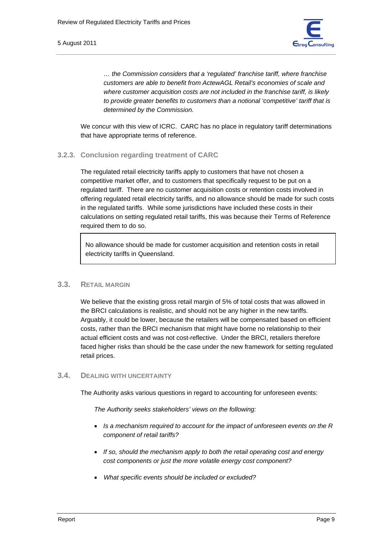

*… the Commission considers that a 'regulated' franchise tariff, where franchise customers are able to benefit from ActewAGL Retail's economies of scale and where customer acquisition costs are not included in the franchise tariff, is likely to provide greater benefits to customers than a notional 'competitive' tariff that is determined by the Commission.* 

We concur with this view of ICRC. CARC has no place in regulatory tariff determinations that have appropriate terms of reference.

#### **3.2.3. Conclusion regarding treatment of CARC**

The regulated retail electricity tariffs apply to customers that have not chosen a competitive market offer, and to customers that specifically request to be put on a regulated tariff. There are no customer acquisition costs or retention costs involved in offering regulated retail electricity tariffs, and no allowance should be made for such costs in the regulated tariffs. While some jurisdictions have included these costs in their calculations on setting regulated retail tariffs, this was because their Terms of Reference required them to do so.

No allowance should be made for customer acquisition and retention costs in retail electricity tariffs in Queensland.

#### **3.3. RETAIL MARGIN**

We believe that the existing gross retail margin of 5% of total costs that was allowed in the BRCI calculations is realistic, and should not be any higher in the new tariffs. Arguably, it could be lower, because the retailers will be compensated based on efficient costs, rather than the BRCI mechanism that might have borne no relationship to their actual efficient costs and was not cost-reflective. Under the BRCI, retailers therefore faced higher risks than should be the case under the new framework for setting regulated retail prices.

#### **3.4. DEALING WITH UNCERTAINTY**

The Authority asks various questions in regard to accounting for unforeseen events:

*The Authority seeks stakeholders' views on the following:* 

- *Is a mechanism required to account for the impact of unforeseen events on the R component of retail tariffs?*
- *If so, should the mechanism apply to both the retail operating cost and energy cost components or just the more volatile energy cost component?*
- *What specific events should be included or excluded?*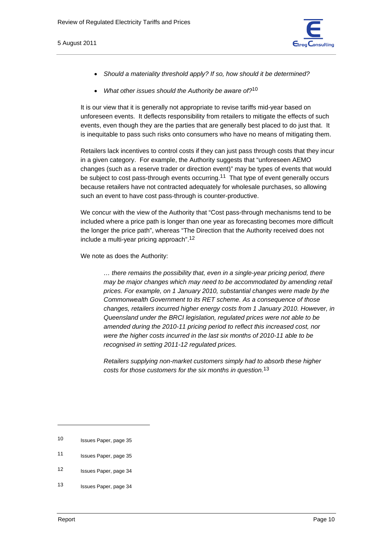

- *Should a materiality threshold apply? If so, how should it be determined?*
- *What other issues should the Authority be aware of?*10

It is our view that it is generally not appropriate to revise tariffs mid-year based on unforeseen events. It deflects responsibility from retailers to mitigate the effects of such events, even though they are the parties that are generally best placed to do just that. It is inequitable to pass such risks onto consumers who have no means of mitigating them.

Retailers lack incentives to control costs if they can just pass through costs that they incur in a given category. For example, the Authority suggests that "unforeseen AEMO changes (such as a reserve trader or direction event)" may be types of events that would be subject to cost pass-through events occurring.<sup>11</sup> That type of event generally occurs because retailers have not contracted adequately for wholesale purchases, so allowing such an event to have cost pass-through is counter-productive.

We concur with the view of the Authority that "Cost pass-through mechanisms tend to be included where a price path is longer than one year as forecasting becomes more difficult the longer the price path", whereas "The Direction that the Authority received does not include a multi-year pricing approach".12

We note as does the Authority:

*… there remains the possibility that, even in a single-year pricing period, there may be major changes which may need to be accommodated by amending retail prices. For example, on 1 January 2010, substantial changes were made by the Commonwealth Government to its RET scheme. As a consequence of those changes, retailers incurred higher energy costs from 1 January 2010. However, in Queensland under the BRCI legislation, regulated prices were not able to be amended during the 2010-11 pricing period to reflect this increased cost, nor were the higher costs incurred in the last six months of 2010-11 able to be recognised in setting 2011-12 regulated prices.* 

*Retailers supplying non-market customers simply had to absorb these higher costs for those customers for the six months in question.*13

<sup>10</sup> Issues Paper, page 35

<sup>11</sup> Issues Paper, page 35

<sup>12</sup> Issues Paper, page 34

<sup>13</sup> Issues Paper, page 34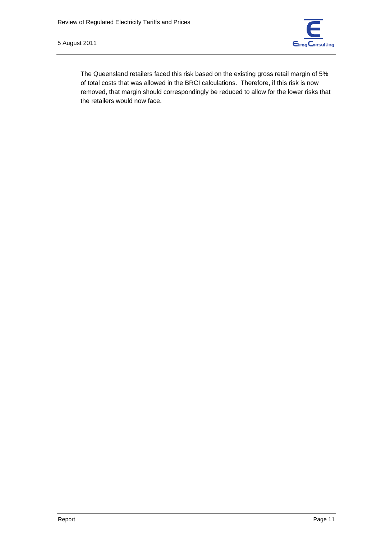5 August 2011



The Queensland retailers faced this risk based on the existing gross retail margin of 5% of total costs that was allowed in the BRCI calculations. Therefore, if this risk is now removed, that margin should correspondingly be reduced to allow for the lower risks that the retailers would now face.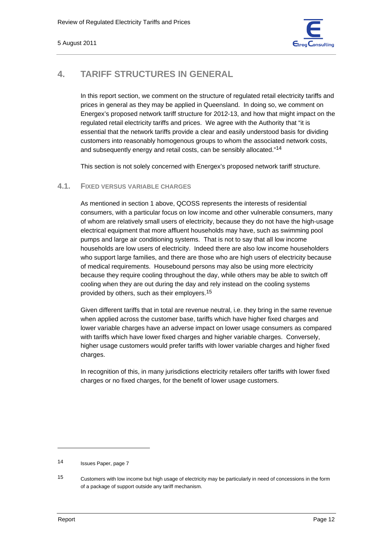

## **4. TARIFF STRUCTURES IN GENERAL**

In this report section, we comment on the structure of regulated retail electricity tariffs and prices in general as they may be applied in Queensland. In doing so, we comment on Energex's proposed network tariff structure for 2012-13, and how that might impact on the regulated retail electricity tariffs and prices. We agree with the Authority that "it is essential that the network tariffs provide a clear and easily understood basis for dividing customers into reasonably homogenous groups to whom the associated network costs, and subsequently energy and retail costs, can be sensibly allocated."14

This section is not solely concerned with Energex's proposed network tariff structure.

## **4.1. FIXED VERSUS VARIABLE CHARGES**

As mentioned in section 1 above, QCOSS represents the interests of residential consumers, with a particular focus on low income and other vulnerable consumers, many of whom are relatively small users of electricity, because they do not have the high-usage electrical equipment that more affluent households may have, such as swimming pool pumps and large air conditioning systems. That is not to say that all low income households are low users of electricity. Indeed there are also low income householders who support large families, and there are those who are high users of electricity because of medical requirements. Housebound persons may also be using more electricity because they require cooling throughout the day, while others may be able to switch off cooling when they are out during the day and rely instead on the cooling systems provided by others, such as their employers.15

Given different tariffs that in total are revenue neutral, i.e. they bring in the same revenue when applied across the customer base, tariffs which have higher fixed charges and lower variable charges have an adverse impact on lower usage consumers as compared with tariffs which have lower fixed charges and higher variable charges. Conversely, higher usage customers would prefer tariffs with lower variable charges and higher fixed charges.

In recognition of this, in many jurisdictions electricity retailers offer tariffs with lower fixed charges or no fixed charges, for the benefit of lower usage customers.

<sup>14</sup> Issues Paper, page 7

<sup>15</sup> Customers with low income but high usage of electricity may be particularly in need of concessions in the form of a package of support outside any tariff mechanism.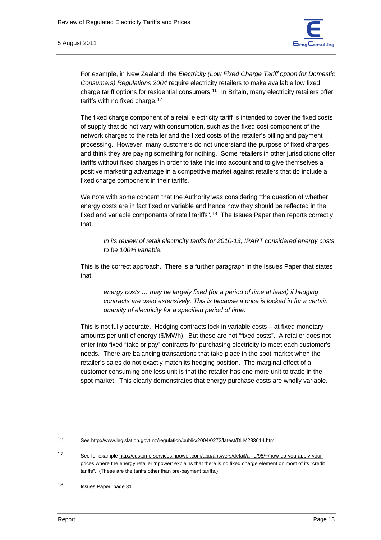

For example, in New Zealand, the *Electricity (Low Fixed Charge Tariff option for Domestic Consumers) Regulations 2004* require electricity retailers to make available low fixed charge tariff options for residential consumers.16 In Britain, many electricity retailers offer tariffs with no fixed charge.17

The fixed charge component of a retail electricity tariff is intended to cover the fixed costs of supply that do not vary with consumption, such as the fixed cost component of the network charges to the retailer and the fixed costs of the retailer's billing and payment processing. However, many customers do not understand the purpose of fixed charges and think they are paying something for nothing. Some retailers in other jurisdictions offer tariffs without fixed charges in order to take this into account and to give themselves a positive marketing advantage in a competitive market against retailers that do include a fixed charge component in their tariffs.

We note with some concern that the Authority was considering "the question of whether energy costs are in fact fixed or variable and hence how they should be reflected in the fixed and variable components of retail tariffs".<sup>18</sup> The Issues Paper then reports correctly that:

*In its review of retail electricity tariffs for 2010-13, IPART considered energy costs to be 100% variable.* 

This is the correct approach. There is a further paragraph in the Issues Paper that states that:

*energy costs … may be largely fixed (for a period of time at least) if hedging contracts are used extensively. This is because a price is locked in for a certain quantity of electricity for a specified period of time.* 

This is not fully accurate. Hedging contracts lock in variable costs – at fixed monetary amounts per unit of energy (\$/MWh). But these are not "fixed costs". A retailer does not enter into fixed "take or pay" contracts for purchasing electricity to meet each customer's needs. There are balancing transactions that take place in the spot market when the retailer's sales do not exactly match its hedging position. The marginal effect of a customer consuming one less unit is that the retailer has one more unit to trade in the spot market. This clearly demonstrates that energy purchase costs are wholly variable.

<sup>16</sup> See http://www.legislation.govt.nz/regulation/public/2004/0272/latest/DLM283614.html

<sup>17</sup> See for example http://customerservices.npower.com/app/answers/detail/a\_id/95/~/how-do-you-apply-yourprices where the energy retailer 'npower' explains that there is no fixed charge element on most of its "credit tariffs". (These are the tariffs other than pre-payment tariffs.)

<sup>18</sup> Issues Paper, page 31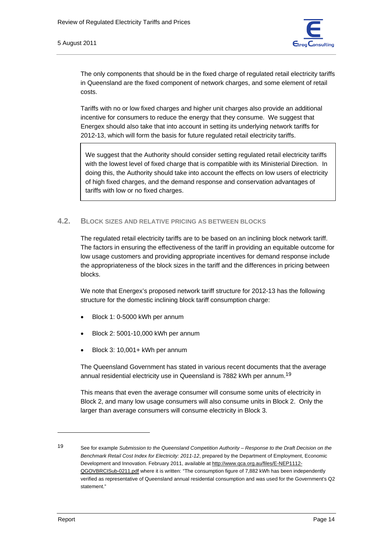

The only components that should be in the fixed charge of regulated retail electricity tariffs in Queensland are the fixed component of network charges, and some element of retail costs.

Tariffs with no or low fixed charges and higher unit charges also provide an additional incentive for consumers to reduce the energy that they consume. We suggest that Energex should also take that into account in setting its underlying network tariffs for 2012-13, which will form the basis for future regulated retail electricity tariffs.

We suggest that the Authority should consider setting regulated retail electricity tariffs with the lowest level of fixed charge that is compatible with its Ministerial Direction. In doing this, the Authority should take into account the effects on low users of electricity of high fixed charges, and the demand response and conservation advantages of tariffs with low or no fixed charges.

#### **4.2. BLOCK SIZES AND RELATIVE PRICING AS BETWEEN BLOCKS**

The regulated retail electricity tariffs are to be based on an inclining block network tariff. The factors in ensuring the effectiveness of the tariff in providing an equitable outcome for low usage customers and providing appropriate incentives for demand response include the appropriateness of the block sizes in the tariff and the differences in pricing between blocks.

We note that Energex's proposed network tariff structure for 2012-13 has the following structure for the domestic inclining block tariff consumption charge:

- Block 1: 0-5000 kWh per annum
- Block 2: 5001-10,000 kWh per annum
- Block 3: 10,001+ kWh per annum

The Queensland Government has stated in various recent documents that the average annual residential electricity use in Queensland is 7882 kWh per annum.19

This means that even the average consumer will consume some units of electricity in Block 2, and many low usage consumers will also consume units in Block 2. Only the larger than average consumers will consume electricity in Block 3.

<sup>19</sup> See for example *Submission to the Queensland Competition Authority – Response to the Draft Decision on the Benchmark Retail Cost Index for Electricity: 2011-12*, prepared by the Department of Employment, Economic Development and Innovation. February 2011, available at http://www.qca.org.au/files/E-NEP1112- QGOVBRCISub-0211.pdf where it is written: "The consumption figure of 7,882 kWh has been independently verified as representative of Queensland annual residential consumption and was used for the Government's Q2 statement."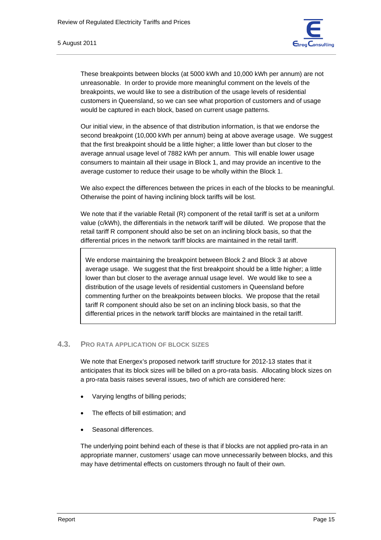These breakpoints between blocks (at 5000 kWh and 10,000 kWh per annum) are not unreasonable. In order to provide more meaningful comment on the levels of the breakpoints, we would like to see a distribution of the usage levels of residential customers in Queensland, so we can see what proportion of customers and of usage would be captured in each block, based on current usage patterns.

Our initial view, in the absence of that distribution information, is that we endorse the second breakpoint (10,000 kWh per annum) being at above average usage. We suggest that the first breakpoint should be a little higher; a little lower than but closer to the average annual usage level of 7882 kWh per annum. This will enable lower usage consumers to maintain all their usage in Block 1, and may provide an incentive to the average customer to reduce their usage to be wholly within the Block 1.

We also expect the differences between the prices in each of the blocks to be meaningful. Otherwise the point of having inclining block tariffs will be lost.

We note that if the variable Retail (R) component of the retail tariff is set at a uniform value (c/kWh), the differentials in the network tariff will be diluted. We propose that the retail tariff R component should also be set on an inclining block basis, so that the differential prices in the network tariff blocks are maintained in the retail tariff.

We endorse maintaining the breakpoint between Block 2 and Block 3 at above average usage. We suggest that the first breakpoint should be a little higher; a little lower than but closer to the average annual usage level. We would like to see a distribution of the usage levels of residential customers in Queensland before commenting further on the breakpoints between blocks. We propose that the retail tariff R component should also be set on an inclining block basis, so that the differential prices in the network tariff blocks are maintained in the retail tariff.

### **4.3. PRO RATA APPLICATION OF BLOCK SIZES**

We note that Energex's proposed network tariff structure for 2012-13 states that it anticipates that its block sizes will be billed on a pro-rata basis. Allocating block sizes on a pro-rata basis raises several issues, two of which are considered here:

- Varying lengths of billing periods;
- The effects of bill estimation; and
- Seasonal differences.

The underlying point behind each of these is that if blocks are not applied pro-rata in an appropriate manner, customers' usage can move unnecessarily between blocks, and this may have detrimental effects on customers through no fault of their own.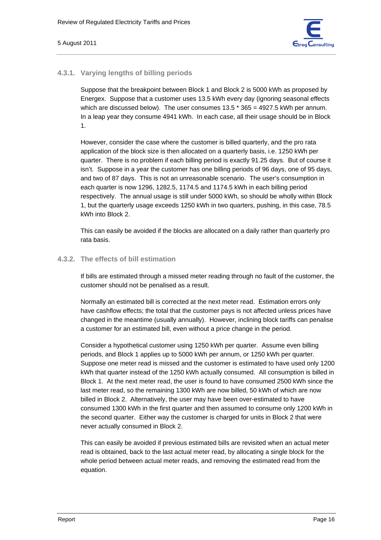

#### **4.3.1. Varying lengths of billing periods**

Suppose that the breakpoint between Block 1 and Block 2 is 5000 kWh as proposed by Energex. Suppose that a customer uses 13.5 kWh every day (ignoring seasonal effects which are discussed below). The user consumes 13.5 \* 365 = 4927.5 kWh per annum. In a leap year they consume 4941 kWh. In each case, all their usage should be in Block 1.

However, consider the case where the customer is billed quarterly, and the pro rata application of the block size is then allocated on a quarterly basis, i.e. 1250 kWh per quarter. There is no problem if each billing period is exactly 91.25 days. But of course it isn't. Suppose in a year the customer has one billing periods of 96 days, one of 95 days, and two of 87 days. This is not an unreasonable scenario. The user's consumption in each quarter is now 1296, 1282.5, 1174.5 and 1174.5 kWh in each billing period respectively. The annual usage is still under 5000 kWh, so should be wholly within Block 1, but the quarterly usage exceeds 1250 kWh in two quarters, pushing, in this case, 78.5 kWh into Block 2.

This can easily be avoided if the blocks are allocated on a daily rather than quarterly pro rata basis.

#### **4.3.2. The effects of bill estimation**

If bills are estimated through a missed meter reading through no fault of the customer, the customer should not be penalised as a result.

Normally an estimated bill is corrected at the next meter read. Estimation errors only have cashflow effects; the total that the customer pays is not affected unless prices have changed in the meantime (usually annually). However, inclining block tariffs can penalise a customer for an estimated bill, even without a price change in the period.

Consider a hypothetical customer using 1250 kWh per quarter. Assume even billing periods, and Block 1 applies up to 5000 kWh per annum, or 1250 kWh per quarter. Suppose one meter read is missed and the customer is estimated to have used only 1200 kWh that quarter instead of the 1250 kWh actually consumed. All consumption is billed in Block 1. At the next meter read, the user is found to have consumed 2500 kWh since the last meter read, so the remaining 1300 kWh are now billed, 50 kWh of which are now billed in Block 2. Alternatively, the user may have been over-estimated to have consumed 1300 kWh in the first quarter and then assumed to consume only 1200 kWh in the second quarter. Either way the customer is charged for units in Block 2 that were never actually consumed in Block 2.

This can easily be avoided if previous estimated bills are revisited when an actual meter read is obtained, back to the last actual meter read, by allocating a single block for the whole period between actual meter reads, and removing the estimated read from the equation.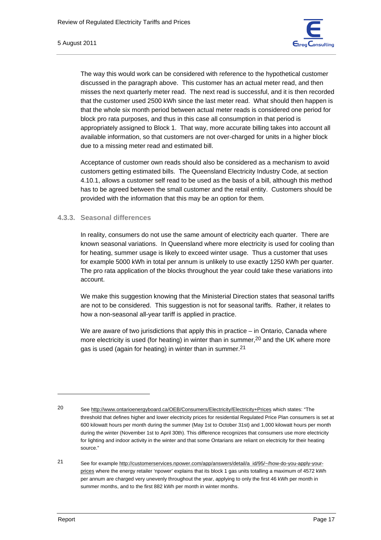

The way this would work can be considered with reference to the hypothetical customer discussed in the paragraph above. This customer has an actual meter read, and then misses the next quarterly meter read. The next read is successful, and it is then recorded that the customer used 2500 kWh since the last meter read. What should then happen is that the whole six month period between actual meter reads is considered one period for block pro rata purposes, and thus in this case all consumption in that period is appropriately assigned to Block 1. That way, more accurate billing takes into account all available information, so that customers are not over-charged for units in a higher block due to a missing meter read and estimated bill.

Acceptance of customer own reads should also be considered as a mechanism to avoid customers getting estimated bills. The Queensland Electricity Industry Code, at section 4.10.1, allows a customer self read to be used as the basis of a bill, although this method has to be agreed between the small customer and the retail entity. Customers should be provided with the information that this may be an option for them.

#### **4.3.3. Seasonal differences**

In reality, consumers do not use the same amount of electricity each quarter. There are known seasonal variations. In Queensland where more electricity is used for cooling than for heating, summer usage is likely to exceed winter usage. Thus a customer that uses for example 5000 kWh in total per annum is unlikely to use exactly 1250 kWh per quarter. The pro rata application of the blocks throughout the year could take these variations into account.

We make this suggestion knowing that the Ministerial Direction states that seasonal tariffs are not to be considered. This suggestion is not for seasonal tariffs. Rather, it relates to how a non-seasonal all-year tariff is applied in practice.

We are aware of two jurisdictions that apply this in practice  $-$  in Ontario, Canada where more electricity is used (for heating) in winter than in summer,<sup>20</sup> and the UK where more gas is used (again for heating) in winter than in summer.21

<sup>20</sup> See http://www.ontarioenergyboard.ca/OEB/Consumers/Electricity/Electricity+Prices which states: "The threshold that defines higher and lower electricity prices for residential Regulated Price Plan consumers is set at 600 kilowatt hours per month during the summer (May 1st to October 31st) and 1,000 kilowatt hours per month during the winter (November 1st to April 30th). This difference recognizes that consumers use more electricity for lighting and indoor activity in the winter and that some Ontarians are reliant on electricity for their heating source."

<sup>21</sup> See for example http://customerservices.npower.com/app/answers/detail/a\_id/95/~/how-do-you-apply-yourprices where the energy retailer 'npower' explains that its block 1 gas units totalling a maximum of 4572 kWh per annum are charged very unevenly throughout the year, applying to only the first 46 kWh per month in summer months, and to the first 882 kWh per month in winter months.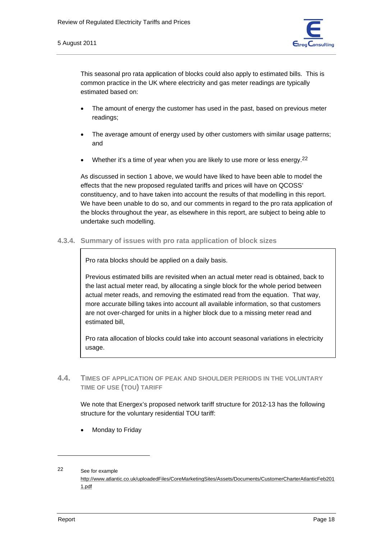

This seasonal pro rata application of blocks could also apply to estimated bills. This is common practice in the UK where electricity and gas meter readings are typically estimated based on:

- The amount of energy the customer has used in the past, based on previous meter readings;
- The average amount of energy used by other customers with similar usage patterns; and
- Whether it's a time of year when you are likely to use more or less energy.<sup>22</sup>

As discussed in section 1 above, we would have liked to have been able to model the effects that the new proposed regulated tariffs and prices will have on QCOSS' constituency, and to have taken into account the results of that modelling in this report. We have been unable to do so, and our comments in regard to the pro rata application of the blocks throughout the year, as elsewhere in this report, are subject to being able to undertake such modelling.

**4.3.4. Summary of issues with pro rata application of block sizes** 

Pro rata blocks should be applied on a daily basis.

Previous estimated bills are revisited when an actual meter read is obtained, back to the last actual meter read, by allocating a single block for the whole period between actual meter reads, and removing the estimated read from the equation. That way, more accurate billing takes into account all available information, so that customers are not over-charged for units in a higher block due to a missing meter read and estimated bill,

Pro rata allocation of blocks could take into account seasonal variations in electricity usage.

**4.4. TIMES OF APPLICATION OF PEAK AND SHOULDER PERIODS IN THE VOLUNTARY TIME OF USE (TOU) TARIFF**

We note that Energex's proposed network tariff structure for 2012-13 has the following structure for the voluntary residential TOU tariff:

• Monday to Friday

<sup>22</sup> See for example

http://www.atlantic.co.uk/uploadedFiles/CoreMarketingSites/Assets/Documents/CustomerCharterAtlanticFeb201 1.pdf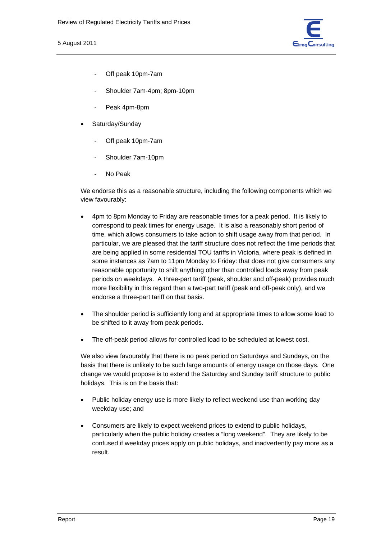

- Off peak 10pm-7am
- Shoulder 7am-4pm; 8pm-10pm
- Peak 4pm-8pm
- Saturday/Sunday
	- Off peak 10pm-7am
	- Shoulder 7am-10pm
	- No Peak

We endorse this as a reasonable structure, including the following components which we view favourably:

- 4pm to 8pm Monday to Friday are reasonable times for a peak period. It is likely to correspond to peak times for energy usage. It is also a reasonably short period of time, which allows consumers to take action to shift usage away from that period. In particular, we are pleased that the tariff structure does not reflect the time periods that are being applied in some residential TOU tariffs in Victoria, where peak is defined in some instances as 7am to 11pm Monday to Friday: that does not give consumers any reasonable opportunity to shift anything other than controlled loads away from peak periods on weekdays. A three-part tariff (peak, shoulder and off-peak) provides much more flexibility in this regard than a two-part tariff (peak and off-peak only), and we endorse a three-part tariff on that basis.
- The shoulder period is sufficiently long and at appropriate times to allow some load to be shifted to it away from peak periods.
- The off-peak period allows for controlled load to be scheduled at lowest cost.

We also view favourably that there is no peak period on Saturdays and Sundays, on the basis that there is unlikely to be such large amounts of energy usage on those days. One change we would propose is to extend the Saturday and Sunday tariff structure to public holidays. This is on the basis that:

- Public holiday energy use is more likely to reflect weekend use than working day weekday use; and
- Consumers are likely to expect weekend prices to extend to public holidays, particularly when the public holiday creates a "long weekend". They are likely to be confused if weekday prices apply on public holidays, and inadvertently pay more as a result.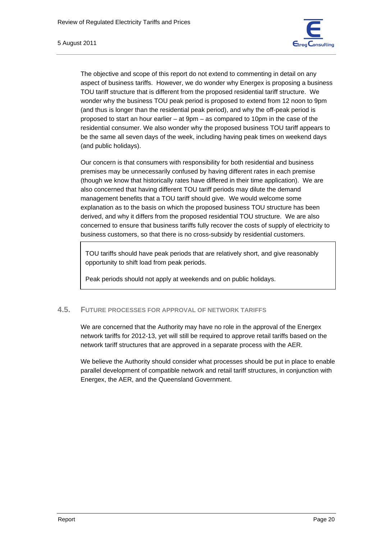

The objective and scope of this report do not extend to commenting in detail on any aspect of business tariffs. However, we do wonder why Energex is proposing a business TOU tariff structure that is different from the proposed residential tariff structure. We wonder why the business TOU peak period is proposed to extend from 12 noon to 9pm (and thus is longer than the residential peak period), and why the off-peak period is proposed to start an hour earlier – at 9pm – as compared to 10pm in the case of the residential consumer. We also wonder why the proposed business TOU tariff appears to be the same all seven days of the week, including having peak times on weekend days (and public holidays).

Our concern is that consumers with responsibility for both residential and business premises may be unnecessarily confused by having different rates in each premise (though we know that historically rates have differed in their time application). We are also concerned that having different TOU tariff periods may dilute the demand management benefits that a TOU tariff should give. We would welcome some explanation as to the basis on which the proposed business TOU structure has been derived, and why it differs from the proposed residential TOU structure. We are also concerned to ensure that business tariffs fully recover the costs of supply of electricity to business customers, so that there is no cross-subsidy by residential customers.

TOU tariffs should have peak periods that are relatively short, and give reasonably opportunity to shift load from peak periods.

Peak periods should not apply at weekends and on public holidays.

### **4.5. FUTURE PROCESSES FOR APPROVAL OF NETWORK TARIFFS**

We are concerned that the Authority may have no role in the approval of the Energex network tariffs for 2012-13, yet will still be required to approve retail tariffs based on the network tariff structures that are approved in a separate process with the AER.

We believe the Authority should consider what processes should be put in place to enable parallel development of compatible network and retail tariff structures, in conjunction with Energex, the AER, and the Queensland Government.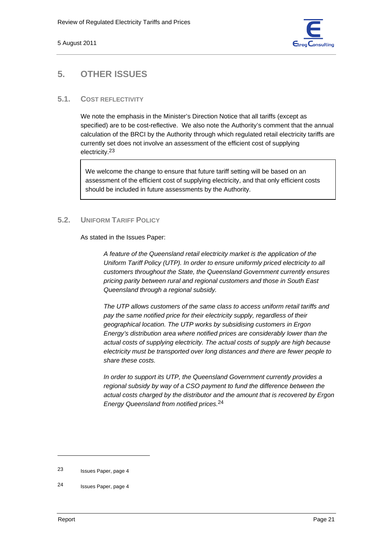

## **5. OTHER ISSUES**

### **5.1. COST REFLECTIVITY**

We note the emphasis in the Minister's Direction Notice that all tariffs (except as specified) are to be cost-reflective. We also note the Authority's comment that the annual calculation of the BRCI by the Authority through which regulated retail electricity tariffs are currently set does not involve an assessment of the efficient cost of supplying electricity.23

We welcome the change to ensure that future tariff setting will be based on an assessment of the efficient cost of supplying electricity, and that only efficient costs should be included in future assessments by the Authority.

### **5.2. UNIFORM TARIFF POLICY**

As stated in the Issues Paper:

*A feature of the Queensland retail electricity market is the application of the Uniform Tariff Policy (UTP). In order to ensure uniformly priced electricity to all customers throughout the State, the Queensland Government currently ensures pricing parity between rural and regional customers and those in South East Queensland through a regional subsidy.* 

*The UTP allows customers of the same class to access uniform retail tariffs and pay the same notified price for their electricity supply, regardless of their geographical location. The UTP works by subsidising customers in Ergon Energy's distribution area where notified prices are considerably lower than the actual costs of supplying electricity. The actual costs of supply are high because electricity must be transported over long distances and there are fewer people to share these costs.* 

*In order to support its UTP, the Queensland Government currently provides a regional subsidy by way of a CSO payment to fund the difference between the actual costs charged by the distributor and the amount that is recovered by Ergon Energy Queensland from notified prices.*24

<sup>23</sup> Issues Paper, page 4

<sup>24</sup> Issues Paper, page 4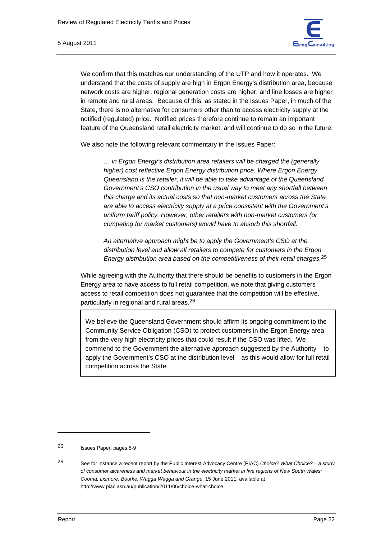We confirm that this matches our understanding of the UTP and how it operates. We understand that the costs of supply are high in Ergon Energy's distribution area, because network costs are higher, regional generation costs are higher, and line losses are higher in remote and rural areas. Because of this, as stated in the Issues Paper, in much of the State, there is no alternative for consumers other than to access electricity supply at the notified (regulated) price. Notified prices therefore continue to remain an important feature of the Queensland retail electricity market, and will continue to do so in the future.

We also note the following relevant commentary in the Issues Paper:

*… in Ergon Energy's distribution area retailers will be charged the (generally higher) cost reflective Ergon Energy distribution price. Where Ergon Energy Queensland is the retailer, it will be able to take advantage of the Queensland Government's CSO contribution in the usual way to meet any shortfall between this charge and its actual costs so that non-market customers across the State are able to access electricity supply at a price consistent with the Government's uniform tariff policy. However, other retailers with non-market customers (or competing for market customers) would have to absorb this shortfall.* 

*An alternative approach might be to apply the Government's CSO at the distribution level and allow all retailers to compete for customers in the Ergon Energy distribution area based on the competitiveness of their retail charges.*25

While agreeing with the Authority that there should be benefits to customers in the Ergon Energy area to have access to full retail competition, we note that giving customers access to retail competition does not guarantee that the competition will be effective, particularly in regional and rural areas.26

We believe the Queensland Government should affirm its ongoing commitment to the Community Service Obligation (CSO) to protect customers in the Ergon Energy area from the very high electricity prices that could result if the CSO was lifted. We commend to the Government the alternative approach suggested by the Authority – to apply the Government's CSO at the distribution level – as this would allow for full retail competition across the State.

<sup>25</sup> Issues Paper, pages 8-9

<sup>26</sup> See for instance a recent report by the Public Interest Advocacy Centre (PIAC) *Choice? What Choice? – a study of consumer awareness and market behaviour in the electricity market in five regions of New South Wales: Cooma, Lismore, Bourke, Wagga Wagga and Orange*, 15 June 2011, available at http://www.piac.asn.au/publication/2011/06/choice-what-choice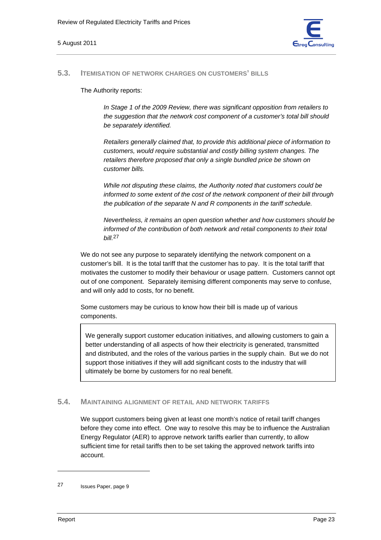

#### **5.3. ITEMISATION OF NETWORK CHARGES ON CUSTOMERS' BILLS**

The Authority reports:

*In Stage 1 of the 2009 Review, there was significant opposition from retailers to the suggestion that the network cost component of a customer's total bill should be separately identified.* 

*Retailers generally claimed that, to provide this additional piece of information to customers, would require substantial and costly billing system changes. The retailers therefore proposed that only a single bundled price be shown on customer bills.* 

*While not disputing these claims, the Authority noted that customers could be informed to some extent of the cost of the network component of their bill through the publication of the separate N and R components in the tariff schedule.* 

*Nevertheless, it remains an open question whether and how customers should be informed of the contribution of both network and retail components to their total bill.*27

We do not see any purpose to separately identifying the network component on a customer's bill. It is the total tariff that the customer has to pay. It is the total tariff that motivates the customer to modify their behaviour or usage pattern. Customers cannot opt out of one component. Separately itemising different components may serve to confuse, and will only add to costs, for no benefit.

Some customers may be curious to know how their bill is made up of various components.

We generally support customer education initiatives, and allowing customers to gain a better understanding of all aspects of how their electricity is generated, transmitted and distributed, and the roles of the various parties in the supply chain. But we do not support those initiatives if they will add significant costs to the industry that will ultimately be borne by customers for no real benefit.

#### **5.4. MAINTAINING ALIGNMENT OF RETAIL AND NETWORK TARIFFS**

We support customers being given at least one month's notice of retail tariff changes before they come into effect. One way to resolve this may be to influence the Australian Energy Regulator (AER) to approve network tariffs earlier than currently, to allow sufficient time for retail tariffs then to be set taking the approved network tariffs into account.

<sup>27</sup> Issues Paper, page 9